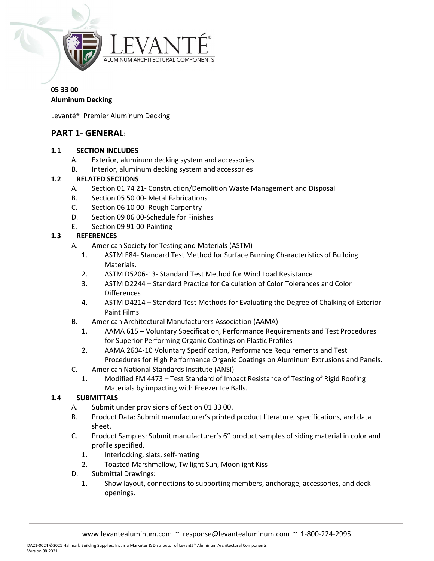

# 05 33 00

# Aluminum Decking

Levanté® Premier Aluminum Decking

### PART 1- GENERAL:

#### 1.1 SECTION INCLUDES

- A. Exterior, aluminum decking system and accessories
- B. Interior, aluminum decking system and accessories

### 1.2 RELATED SECTIONS

- A. Section 01 74 21- Construction/Demolition Waste Management and Disposal
- B. Section 05 50 00- Metal Fabrications
- C. Section 06 10 00- Rough Carpentry
- D. Section 09 06 00-Schedule for Finishes
- E. Section 09 91 00-Painting

### 1.3 REFERENCES

- A. American Society for Testing and Materials (ASTM)
	- 1. ASTM E84- Standard Test Method for Surface Burning Characteristics of Building Materials.
	- 2. ASTM D5206-13- Standard Test Method for Wind Load Resistance
	- 3. ASTM D2244 Standard Practice for Calculation of Color Tolerances and Color Differences
	- 4. ASTM D4214 Standard Test Methods for Evaluating the Degree of Chalking of Exterior Paint Films
- B. American Architectural Manufacturers Association (AAMA)
	- 1. AAMA 615 Voluntary Specification, Performance Requirements and Test Procedures for Superior Performing Organic Coatings on Plastic Profiles
	- 2. AAMA 2604-10 Voluntary Specification, Performance Requirements and Test Procedures for High Performance Organic Coatings on Aluminum Extrusions and Panels.
- C. American National Standards Institute (ANSI)
	- 1. Modified FM 4473 Test Standard of Impact Resistance of Testing of Rigid Roofing Materials by impacting with Freezer Ice Balls.

### 1.4 SUBMITTALS

- A. Submit under provisions of Section 01 33 00.
- B. Product Data: Submit manufacturer's printed product literature, specifications, and data sheet.
- C. Product Samples: Submit manufacturer's 6" product samples of siding material in color and profile specified.
	- 1. Interlocking, slats, self-mating
	- 2. Toasted Marshmallow, Twilight Sun, Moonlight Kiss
- D. Submittal Drawings:
	- 1. Show layout, connections to supporting members, anchorage, accessories, and deck openings.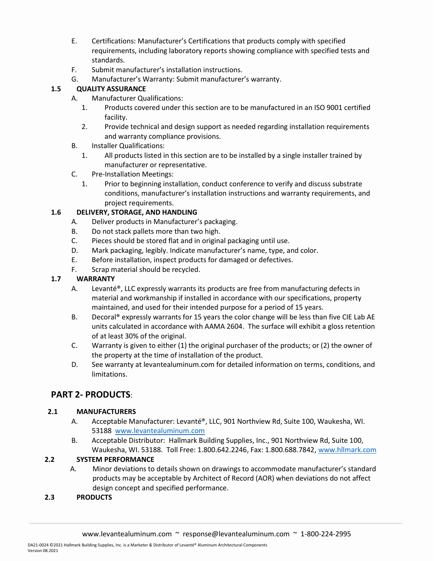- E. Certifications: Manufacturer's Certifications that products comply with specified requirements, including laboratory reports showing compliance with specified tests and standards.
- F. Submit manufacturer's installation instructions.
- G. Manufacturer's Warranty: Submit manufacturer's warranty.

### 1.5 QUALITY ASSURANCE

- A. Manufacturer Qualifications:
	- 1. Products covered under this section are to be manufactured in an ISO 9001 certified facility.
	- 2. Provide technical and design support as needed regarding installation requirements and warranty compliance provisions.
- B. Installer Qualifications:
	- 1. All products listed in this section are to be installed by a single installer trained by manufacturer or representative.
- C. Pre-Installation Meetings:
	- 1. Prior to beginning installation, conduct conference to verify and discuss substrate conditions, manufacturer's installation instructions and warranty requirements, and project requirements.

### 1.6 DELIVERY, STORAGE, AND HANDLING

- A. Deliver products in Manufacturer's packaging.
- B. Do not stack pallets more than two high.
- C. Pieces should be stored flat and in original packaging until use.
- D. Mark packaging, legibly. Indicate manufacturer's name, type, and color.
- E. Before installation, inspect products for damaged or defectives.
- F. Scrap material should be recycled.

### 1.7 WARRANTY

- A. Levanté®, LLC expressly warrants its products are free from manufacturing defects in material and workmanship if installed in accordance with our specifications, property maintained, and used for their intended purpose for a period of 15 years.
- B. Decoral® expressly warrants for 15 years the color change will be less than five CIE Lab AE units calculated in accordance with AAMA 2604. The surface will exhibit a gloss retention of at least 30% of the original.
- C. Warranty is given to either (1) the original purchaser of the products; or (2) the owner of the property at the time of installation of the product.
- D. See warranty at levantealuminum.com for detailed information on terms, conditions, and limitations.

# PART 2- PRODUCTS:

### 2.1 MANUFACTURERS

- A. Acceptable Manufacturer: Levanté®, LLC, 901 Northview Rd, Suite 100, Waukesha, WI. 53188 www.levantealuminum.com
- B. Acceptable Distributor: Hallmark Building Supplies, Inc., 901 Northview Rd, Suite 100, Waukesha, WI. 53188. Toll Free: 1.800.642.2246, Fax: 1.800.688.7842, www.hllmark.com

### 2.2 SYSTEM PERFORMANCE

A. Minor deviations to details shown on drawings to accommodate manufacturer's standard products may be acceptable by Architect of Record (AOR) when deviations do not affect design concept and specified performance.

### 2.3 PRODUCTS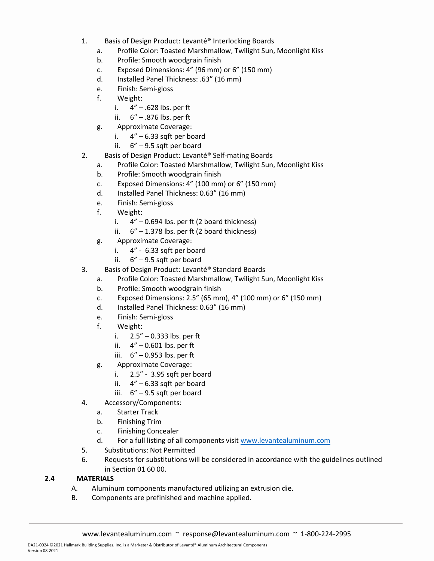- 1. Basis of Design Product: Levanté® Interlocking Boards
	- a. Profile Color: Toasted Marshmallow, Twilight Sun, Moonlight Kiss
	- b. Profile: Smooth woodgrain finish
	- c. Exposed Dimensions: 4" (96 mm) or 6" (150 mm)
	- d. Installed Panel Thickness: .63" (16 mm)
	- e. Finish: Semi-gloss
	- f. Weight:
		- i.  $4'' .628$  lbs. per ft
		- ii.  $6'' .876$  lbs. per ft
	- g. Approximate Coverage:
		- i.  $4'' 6.33$  sqft per board
		- ii. 6" 9.5 sqft per board
- 2. Basis of Design Product: Levanté® Self-mating Boards
	- a. Profile Color: Toasted Marshmallow, Twilight Sun, Moonlight Kiss
	- b. Profile: Smooth woodgrain finish
	- c. Exposed Dimensions: 4" (100 mm) or 6" (150 mm)
	- d. Installed Panel Thickness: 0.63" (16 mm)
	- e. Finish: Semi-gloss
	- f. Weight:
		- i.  $4'' 0.694$  lbs. per ft (2 board thickness)
		- ii.  $6'' 1.378$  lbs. per ft (2 board thickness)
	- g. Approximate Coverage:
		- i. 4" 6.33 sqft per board
		- ii. 6" 9.5 sqft per board
- 3. Basis of Design Product: Levanté® Standard Boards
	- a. Profile Color: Toasted Marshmallow, Twilight Sun, Moonlight Kiss
	- b. Profile: Smooth woodgrain finish
	- c. Exposed Dimensions: 2.5" (65 mm), 4" (100 mm) or 6" (150 mm)
	- d. Installed Panel Thickness: 0.63" (16 mm)
	- e. Finish: Semi-gloss
	- f. Weight:
		- i. 2.5" 0.333 lbs. per ft
		- ii.  $4'' 0.601$  lbs. per ft
		- iii. 6" 0.953 lbs. per ft
	- g. Approximate Coverage:
		- i. 2.5" 3.95 sqft per board
		- ii.  $4'' 6.33$  sqft per board
		- iii. 6" 9.5 sqft per board
- 4. Accessory/Components:
	- a. Starter Track
	- b. Finishing Trim
	- c. Finishing Concealer
	- d. For a full listing of all components visit www.levantealuminum.com
- 5. Substitutions: Not Permitted
- 6. Requests for substitutions will be considered in accordance with the guidelines outlined in Section 01 60 00.

### 2.4 MATERIALS

- A. Aluminum components manufactured utilizing an extrusion die.
- B. Components are prefinished and machine applied.